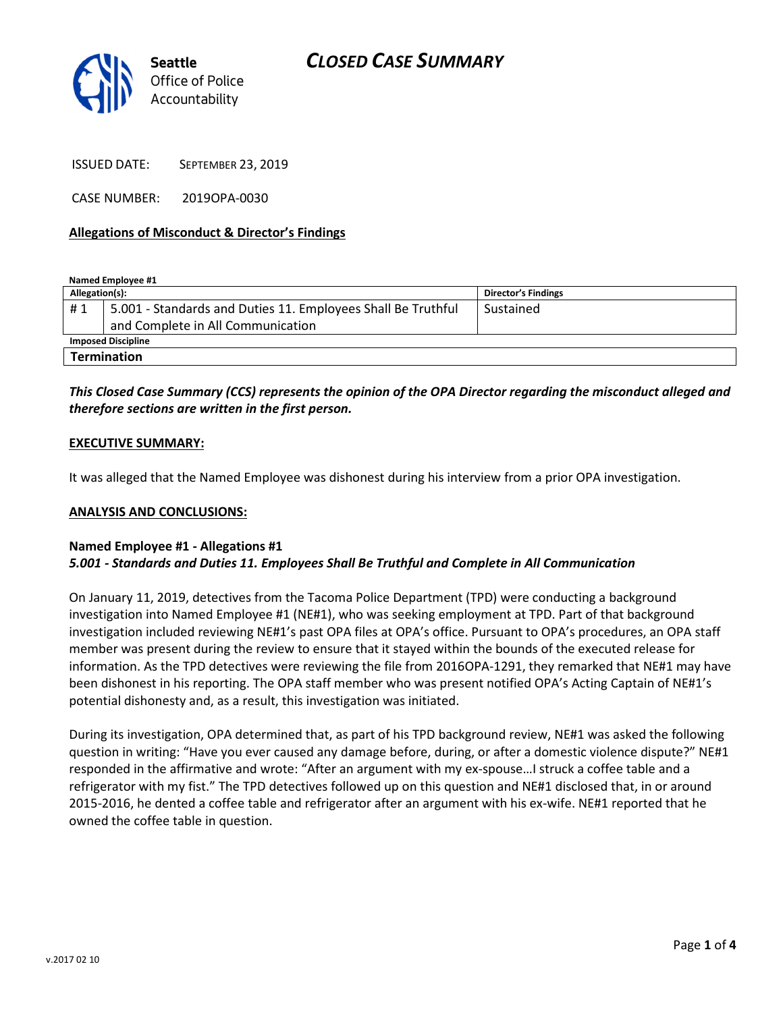

ISSUED DATE: SEPTEMBER 23, 2019

CASE NUMBER: 2019OPA-0030

#### Allegations of Misconduct & Director's Findings

Named Employee #1

| Allegation(s):            |                                                              | <b>Director's Findings</b> |
|---------------------------|--------------------------------------------------------------|----------------------------|
| #1                        | 5.001 - Standards and Duties 11. Employees Shall Be Truthful | Sustained                  |
|                           | and Complete in All Communication                            |                            |
| <b>Imposed Discipline</b> |                                                              |                            |
| <b>Termination</b>        |                                                              |                            |

### This Closed Case Summary (CCS) represents the opinion of the OPA Director regarding the misconduct alleged and therefore sections are written in the first person.

#### EXECUTIVE SUMMARY:

It was alleged that the Named Employee was dishonest during his interview from a prior OPA investigation.

#### ANALYSIS AND CONCLUSIONS:

### Named Employee #1 - Allegations #1

#### 5.001 - Standards and Duties 11. Employees Shall Be Truthful and Complete in All Communication

On January 11, 2019, detectives from the Tacoma Police Department (TPD) were conducting a background investigation into Named Employee #1 (NE#1), who was seeking employment at TPD. Part of that background investigation included reviewing NE#1's past OPA files at OPA's office. Pursuant to OPA's procedures, an OPA staff member was present during the review to ensure that it stayed within the bounds of the executed release for information. As the TPD detectives were reviewing the file from 2016OPA-1291, they remarked that NE#1 may have been dishonest in his reporting. The OPA staff member who was present notified OPA's Acting Captain of NE#1's potential dishonesty and, as a result, this investigation was initiated.

During its investigation, OPA determined that, as part of his TPD background review, NE#1 was asked the following question in writing: "Have you ever caused any damage before, during, or after a domestic violence dispute?" NE#1 responded in the affirmative and wrote: "After an argument with my ex-spouse…I struck a coffee table and a refrigerator with my fist." The TPD detectives followed up on this question and NE#1 disclosed that, in or around 2015-2016, he dented a coffee table and refrigerator after an argument with his ex-wife. NE#1 reported that he owned the coffee table in question.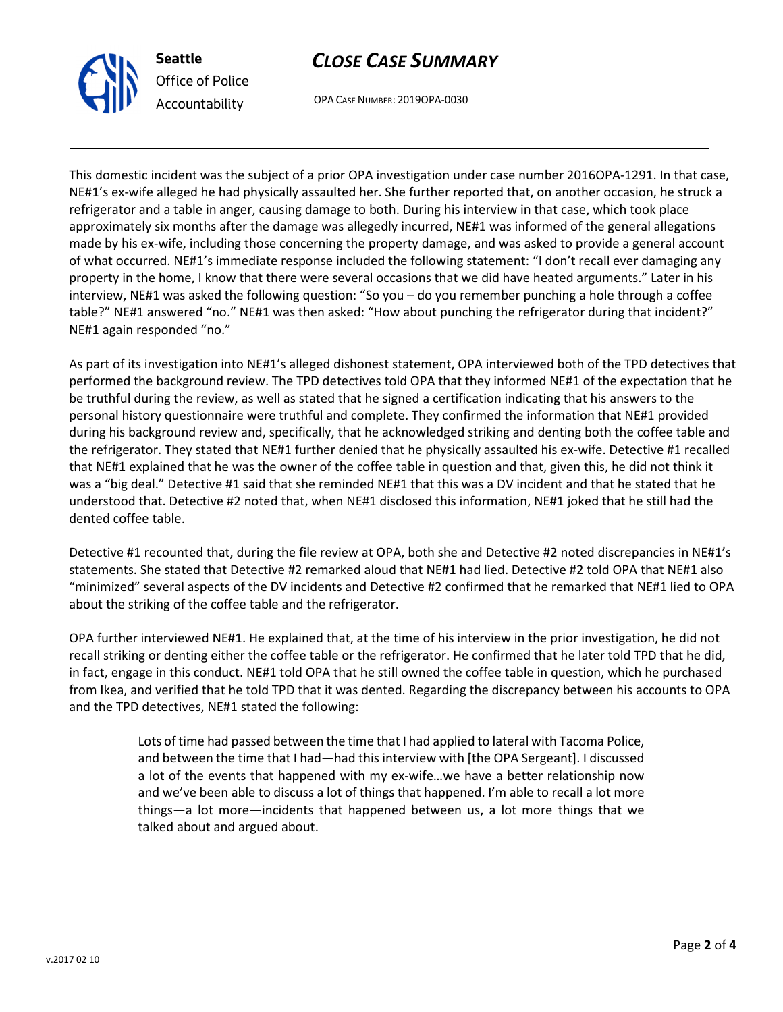

# CLOSE CASE SUMMARY

OPA CASE NUMBER: 2019OPA-0030

This domestic incident was the subject of a prior OPA investigation under case number 2016OPA-1291. In that case, NE#1's ex-wife alleged he had physically assaulted her. She further reported that, on another occasion, he struck a refrigerator and a table in anger, causing damage to both. During his interview in that case, which took place approximately six months after the damage was allegedly incurred, NE#1 was informed of the general allegations made by his ex-wife, including those concerning the property damage, and was asked to provide a general account of what occurred. NE#1's immediate response included the following statement: "I don't recall ever damaging any property in the home, I know that there were several occasions that we did have heated arguments." Later in his interview, NE#1 was asked the following question: "So you – do you remember punching a hole through a coffee table?" NE#1 answered "no." NE#1 was then asked: "How about punching the refrigerator during that incident?" NE#1 again responded "no."

As part of its investigation into NE#1's alleged dishonest statement, OPA interviewed both of the TPD detectives that performed the background review. The TPD detectives told OPA that they informed NE#1 of the expectation that he be truthful during the review, as well as stated that he signed a certification indicating that his answers to the personal history questionnaire were truthful and complete. They confirmed the information that NE#1 provided during his background review and, specifically, that he acknowledged striking and denting both the coffee table and the refrigerator. They stated that NE#1 further denied that he physically assaulted his ex-wife. Detective #1 recalled that NE#1 explained that he was the owner of the coffee table in question and that, given this, he did not think it was a "big deal." Detective #1 said that she reminded NE#1 that this was a DV incident and that he stated that he understood that. Detective #2 noted that, when NE#1 disclosed this information, NE#1 joked that he still had the dented coffee table.

Detective #1 recounted that, during the file review at OPA, both she and Detective #2 noted discrepancies in NE#1's statements. She stated that Detective #2 remarked aloud that NE#1 had lied. Detective #2 told OPA that NE#1 also "minimized" several aspects of the DV incidents and Detective #2 confirmed that he remarked that NE#1 lied to OPA about the striking of the coffee table and the refrigerator.

OPA further interviewed NE#1. He explained that, at the time of his interview in the prior investigation, he did not recall striking or denting either the coffee table or the refrigerator. He confirmed that he later told TPD that he did, in fact, engage in this conduct. NE#1 told OPA that he still owned the coffee table in question, which he purchased from Ikea, and verified that he told TPD that it was dented. Regarding the discrepancy between his accounts to OPA and the TPD detectives, NE#1 stated the following:

> Lots of time had passed between the time that I had applied to lateral with Tacoma Police, and between the time that I had—had this interview with [the OPA Sergeant]. I discussed a lot of the events that happened with my ex-wife…we have a better relationship now and we've been able to discuss a lot of things that happened. I'm able to recall a lot more things—a lot more—incidents that happened between us, a lot more things that we talked about and argued about.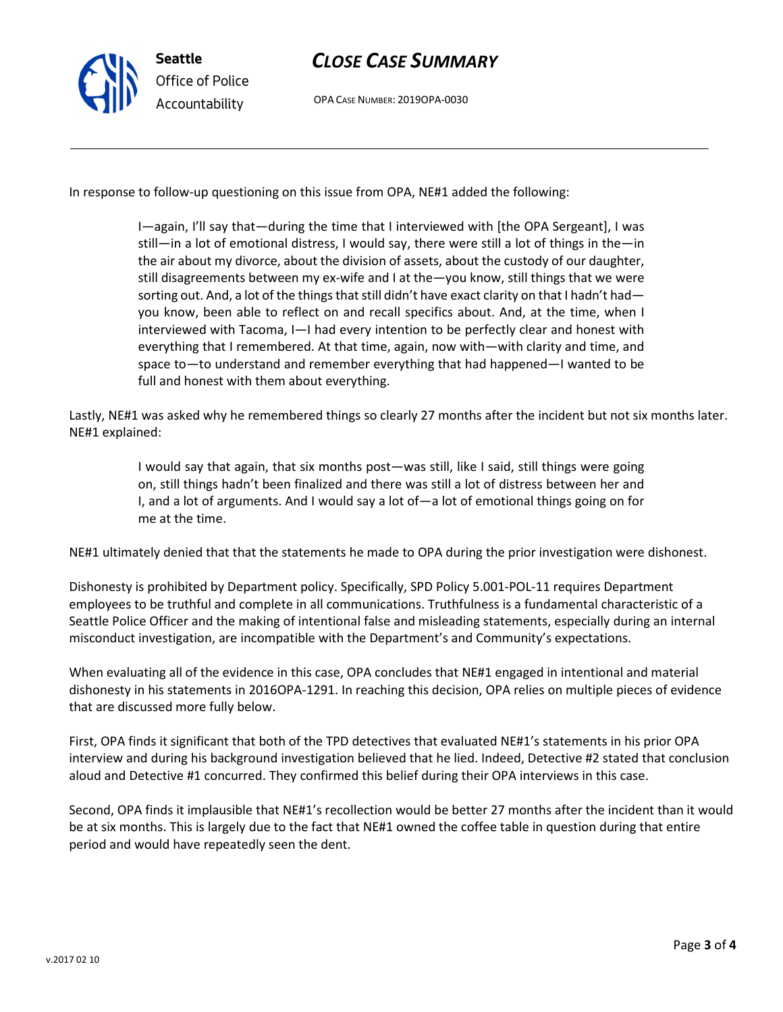

## CLOSE CASE SUMMARY

OPA CASE NUMBER: 2019OPA-0030

In response to follow-up questioning on this issue from OPA, NE#1 added the following:

I—again, I'll say that—during the time that I interviewed with [the OPA Sergeant], I was still—in a lot of emotional distress, I would say, there were still a lot of things in the—in the air about my divorce, about the division of assets, about the custody of our daughter, still disagreements between my ex-wife and I at the—you know, still things that we were sorting out. And, a lot of the things that still didn't have exact clarity on that I hadn't had you know, been able to reflect on and recall specifics about. And, at the time, when I interviewed with Tacoma, I—I had every intention to be perfectly clear and honest with everything that I remembered. At that time, again, now with—with clarity and time, and space to—to understand and remember everything that had happened—I wanted to be full and honest with them about everything.

Lastly, NE#1 was asked why he remembered things so clearly 27 months after the incident but not six months later. NE#1 explained:

> I would say that again, that six months post—was still, like I said, still things were going on, still things hadn't been finalized and there was still a lot of distress between her and I, and a lot of arguments. And I would say a lot of—a lot of emotional things going on for me at the time.

NE#1 ultimately denied that that the statements he made to OPA during the prior investigation were dishonest.

Dishonesty is prohibited by Department policy. Specifically, SPD Policy 5.001-POL-11 requires Department employees to be truthful and complete in all communications. Truthfulness is a fundamental characteristic of a Seattle Police Officer and the making of intentional false and misleading statements, especially during an internal misconduct investigation, are incompatible with the Department's and Community's expectations.

When evaluating all of the evidence in this case, OPA concludes that NE#1 engaged in intentional and material dishonesty in his statements in 2016OPA-1291. In reaching this decision, OPA relies on multiple pieces of evidence that are discussed more fully below.

First, OPA finds it significant that both of the TPD detectives that evaluated NE#1's statements in his prior OPA interview and during his background investigation believed that he lied. Indeed, Detective #2 stated that conclusion aloud and Detective #1 concurred. They confirmed this belief during their OPA interviews in this case.

Second, OPA finds it implausible that NE#1's recollection would be better 27 months after the incident than it would be at six months. This is largely due to the fact that NE#1 owned the coffee table in question during that entire period and would have repeatedly seen the dent.